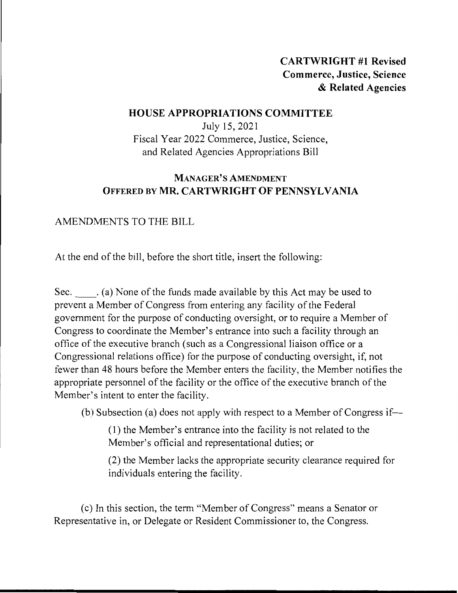# **CARTWRIGHT #1 Revised Commerce, Justice, Science**  & **Related Agencies**

### **HOUSE APPROPRIATIONS COMMITTEE**

July 15, 2021 Fiscal Year 2022 Commerce, Justice, Science, and Related Agencies Appropriations Bill

# **MANAGER'S AMENDMENT OFFERED BY MR. CARTWRIGHT OF PENNSYLVANIA**

## AMENDMENTS TO THE BILL

At the end of the bill, before the short title, insert the following:

Sec. (a) None of the funds made available by this Act may be used to prevent a Member of Congress from entering any facility of the Federal government for the purpose of conducting oversight, or to require a Member of Congress to coordinate the Member's entrance into such a facility through an office of the executive branch (such as a Congressional liaison office or a Congressional relations office) for the purpose of conducting oversight, if, not fewer than 48 hours before the Member enters the facility, the Member notifies the appropriate personnel of the facility or the office of the executive branch of the Member's intent to enter the facility.

(b) Subsection (a) does not apply with respect to a Member of Congress if-

(1) the Member's entrance into the facility is not related to the Member's official and representational duties; or

(2) the Member lacks the appropriate security clearance required for individuals entering the facility.

( c) In this section, the term "Member of Congress" means a Senator or Representative in, or Delegate or Resident Commissioner to, the Congress.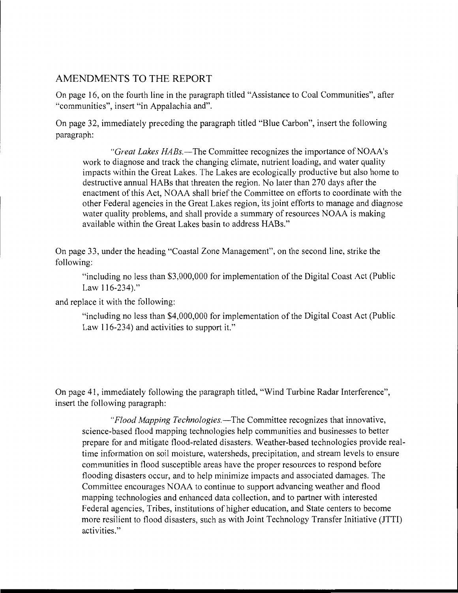#### AMENDMENTS TO THE REPORT

On page 16, on the fourth line in the paragraph titled "Assistance to Coal Communities", after "communities", insert "in Appalachia and".

On page 32, immediately preceding the paragraph titled "Blue Carbon", insert the following paragraph:

*"Great Lakes HABs.*—The Committee recognizes the importance of NOAA's work to diagnose and track the changing climate, nutrient loading, and water quality impacts within the Great Lakes. The Lakes are ecologically productive but also home to destructive annual HABs that threaten the region. No later than 270 days after the enactment of this Act, NOAA shall brief the Committee on efforts to coordinate with the other Federal agencies in the Great Lakes region, its joint efforts to manage and diagnose water quality problems, and shall provide a summary of resources NOAA is making available within the Great Lakes basin to address HABs."

On page 33, under the heading "Coastal Zone Management", on the second line, strike the following:

"including no less than \$3,000,000 for implementation of the Digital Coast Act (Public Law  $116 - 234$ ."

and replace it with the following:

"including no less than \$4,000,000 for implementation of the Digital Coast Act (Public Law 116-234) and activities to support it."

On page 41, immediately following the paragraph titled, "Wind Turbine Radar Interference", insert the following paragraph:

*"Flood Mapping Technologies.-The* Committee recognizes that innovative, science-based flood mapping technologies help communities and businesses to better prepare for and mitigate flood-related disasters. Weather-based technologies provide realtime information on soil moisture, watersheds, precipitation, and stream levels to ensure communities in flood susceptible areas have the proper resources to respond before flooding disasters occur, and to help minimize impacts and associated damages. The Committee encourages NOAA to continue to support advancing weather and flood mapping technologies and enhanced data collection, and to partner with interested Federal agencies, Tribes, institutions of higher education, and State centers to become more resilient to flood disasters, such as with Joint Technology Transfer Initiative (JTTI) activities."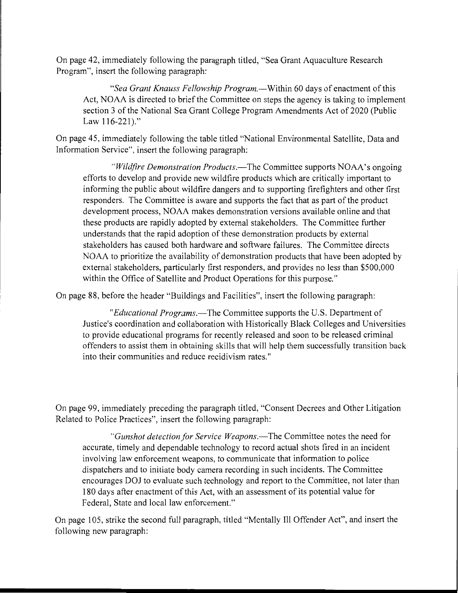On page 42, immediately following the paragraph titled, "Sea Grant Aquaculture Research Program", insert the following paragraph:

*"Sea Grant Knauss Fellowship Program.-Within* 60 days of enactment of this Act, NOAA is directed to brief the Committee on steps the agency is taking to implement section 3 of the National Sea Grant College Program Amendments Act of 2020 (Public Law 116-221)."

On page 45, immediately following the table titled "National Environmental Satellite, Data and Information Service", insert the following paragraph:

*"Wildfire Demonstration Products.*—The Committee supports NOAA's ongoing efforts to develop and provide new wildfire products which are critically important to informing the public about wildfire dangers and to supporting firefighters and other first responders. The Committee is aware and supports the fact that as part of the product development process, NOAA makes demonstration versions available online and that these products are rapidly adopted by external stakeholders. The Committee further understands that the rapid adoption of these demonstration products by external stakeholders has caused both hardware and software failures. The Committee directs NOAA to prioritize the availability of demonstration products that have been adopted by external stakeholders, particularly first responders, and provides no less than \$500,000 within the Office of Satellite and Product Operations for this purpose."

On page 88, before the header "Buildings and Facilities", insert the following paragraph:

*"Educational Programs.-The* Committee supports the U.S. Department of Justice's coordination and collaboration with Historically Black Colleges and Universities to provide educational programs for recently released and soon to be released criminal offenders to assist them in obtaining skills that will help them successfully transition back into their communities and reduce recidivism rates."

On page 99, immediately preceding the paragraph titled, "Consent Decrees and Other Litigation Related to Police Practices", insert the following paragraph:

*"Gunshot detection for Service Weapons.-The* Committee notes the need for accurate, timely and dependable technology to record actual shots fired in an incident involving law enforcement weapons, to communicate that information to police dispatchers and to initiate body camera recording in such incidents. The Committee encourages DOJ to evaluate such technology and report to the Committee, not later than 180 days after enactment of this Act, with an assessment of its potential value for Federal, State and local law enforcement."

On page 105, strike the second full paragraph, titled "Mentally Ill Offender Act", and insert the following new paragraph: